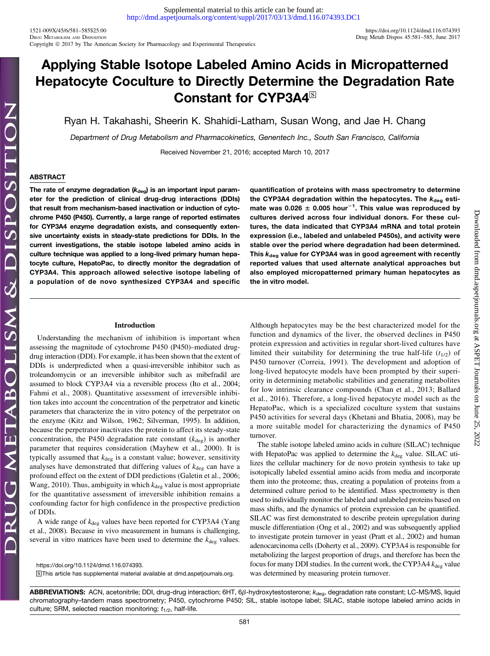1521-009X/45/6/581–585\$25.00 <https://doi.org/10.1124/dmd.116.074393> Copyright © 2017 by The American Society for Pharmacology and Experimental Therapeutics

Downloaded from [dmd.aspetjournals.org](http://dmd.aspetjournals.org/) at ASPET Journals on June 25, 2022

 $.2022$ 

Downloaded from dmd.aspetjournals.org at ASPET Journals on June 25,

# Applying Stable Isotope Labeled Amino Acids in Micropatterned Hepatocyte Coculture to Directly Determine the Degradation Rate Constant for CYP3A4<sup>S</sup>

Ryan H. Takahashi, Sheerin K. Shahidi-Latham, Susan Wong, and Jae H. Chang

Department of Drug Metabolism and Pharmacokinetics, Genentech Inc., South San Francisco, California

Received November 21, 2016; accepted March 10, 2017

# ABSTRACT

The rate of enzyme degradation  $(k_{\text{deg}})$  is an important input parameter for the prediction of clinical drug-drug interactions (DDIs) that result from mechanism-based inactivation or induction of cytochrome P450 (P450). Currently, a large range of reported estimates for CYP3A4 enzyme degradation exists, and consequently extensive uncertainty exists in steady-state predictions for DDIs. In the current investigations, the stable isotope labeled amino acids in culture technique was applied to a long-lived primary human hepatocyte culture, HepatoPac, to directly monitor the degradation of CYP3A4. This approach allowed selective isotope labeling of a population of de novo synthesized CYP3A4 and specific

quantification of proteins with mass spectrometry to determine the CYP3A4 degradation within the hepatocytes. The  $k_{\text{des}}$  estimate was 0.026  $\pm$  0.005 hour<sup>-1</sup>. This value was reproduced by cultures derived across four individual donors. For these cultures, the data indicated that CYP3A4 mRNA and total protein expression (i.e., labeled and unlabeled P450s), and activity were stable over the period where degradation had been determined. This  $k_{\text{dea}}$  value for CYP3A4 was in good agreement with recently reported values that used alternate analytical approaches but also employed micropatterned primary human hepatocytes as the in vitro model.

# Introduction

Understanding the mechanism of inhibition is important when assessing the magnitude of cytochrome P450 (P450)–mediated drugdrug interaction (DDI). For example, it has been shown that the extent of DDIs is underpredicted when a quasi-irreversible inhibitor such as troleandomycin or an irreversible inhibitor such as mibefradil are assumed to block CYP3A4 via a reversible process (Ito et al., 2004; Fahmi et al., 2008). Quantitative assessment of irreversible inhibition takes into account the concentration of the perpetrator and kinetic parameters that characterize the in vitro potency of the perpetrator on the enzyme (Kitz and Wilson, 1962; Silverman, 1995). In addition, because the perpetrator inactivates the protein to affect its steady-state concentration, the P450 degradation rate constant  $(k_{\text{deg}})$  is another parameter that requires consideration (Mayhew et al., 2000). It is typically assumed that  $k_{\text{deg}}$  is a constant value; however, sensitivity analyses have demonstrated that differing values of  $k_{\text{deg}}$  can have a profound effect on the extent of DDI predictions (Galetin et al., 2006; Wang, 2010). Thus, ambiguity in which  $k_{\text{deg}}$  value is most appropriate for the quantitative assessment of irreversible inhibition remains a confounding factor for high confidence in the prospective prediction of DDIs.

A wide range of  $k_{\text{deg}}$  values have been reported for CYP3A4 (Yang et al., 2008). Because in vivo measurement in humans is challenging, several in vitro matrices have been used to determine the  $k_{\text{deg}}$  values.

<https://doi.org/10.1124/dmd.116.074393>. S This article has supplemental material available at [dmd.aspetjournals.org.](http://dmd.aspetjournals.org) Although hepatocytes may be the best characterized model for the function and dynamics of the liver, the observed declines in P450 protein expression and activities in regular short-lived cultures have limited their suitability for determining the true half-life  $(t_{1/2})$  of P450 turnover (Correia, 1991). The development and adoption of long-lived hepatocyte models have been prompted by their superiority in determining metabolic stabilities and generating metabolites for low intrinsic clearance compounds (Chan et al., 2013; Ballard et al., 2016). Therefore, a long-lived hepatocyte model such as the HepatoPac, which is a specialized coculture system that sustains P450 activities for several days (Khetani and Bhatia, 2008), may be a more suitable model for characterizing the dynamics of P450 turnover.

The stable isotope labeled amino acids in culture (SILAC) technique with HepatoPac was applied to determine the  $k_{\text{deg}}$  value. SILAC utilizes the cellular machinery for de novo protein synthesis to take up isotopically labeled essential amino acids from media and incorporate them into the proteome; thus, creating a population of proteins from a determined culture period to be identified. Mass spectrometry is then used to individually monitor the labeled and unlabeled proteins based on mass shifts, and the dynamics of protein expression can be quantified. SILAC was first demonstrated to describe protein upregulation during muscle differentiation (Ong et al., 2002) and was subsequently applied to investigate protein turnover in yeast (Pratt et al., 2002) and human adenocarcinoma cells (Doherty et al., 2009). CYP3A4 is responsible for metabolizing the largest proportion of drugs, and therefore has been the focus for many DDI studies. In the current work, the CYP3A4  $k_{\text{deg}}$  value was determined by measuring protein turnover.

ABBREVIATIONS: ACN, acetonitrile; DDI, drug-drug interaction; 6HT, 6 $\beta$ -hydroxytestosterone;  $k_{\text{deg}}$ , degradation rate constant; LC-MS/MS, liquid chromatography–tandem mass spectrometry; P450, cytochrome P450; SIL, stable isotope label; SILAC, stable isotope labeled amino acids in culture; SRM, selected reaction monitoring;  $t_{1/2}$ , half-life.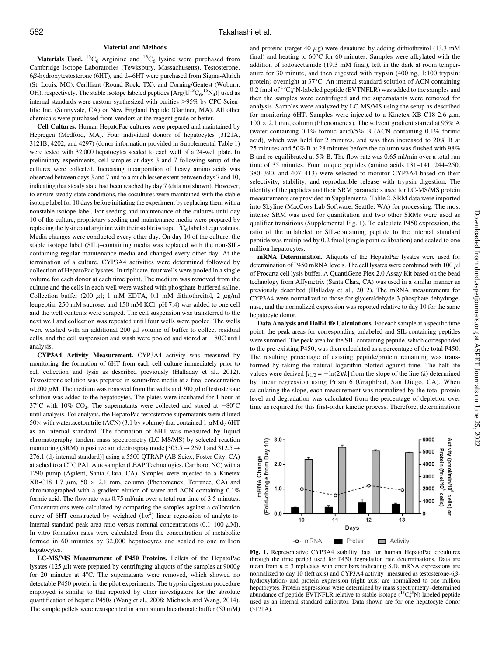#### Material and Methods

**Materials Used.** <sup>13</sup>C<sub>6</sub> Arginine and <sup>13</sup>C<sub>6</sub> lysine were purchased from Cambridge Isotope Laboratories (Tewksbury, Massachusetts). Testosterone, 6 $\beta$ -hydroxytestosterone (6HT), and d<sub>7</sub>-6HT were purchased from Sigma-Altrich (St. Louis, MO), Cerilliant (Round Rock, TX), and Corning/Gentest (Woburn, OH), respectively. The stable isotope labeled peptides  $[Arg(U^{13}C_6, ^{15}N_4)]$  used as internal standards were custom synthesized with purities >95% by CPC Scientific Inc. (Sunnyvale, CA) or New England Peptide (Gardner, MA). All other chemicals were purchased from vendors at the reagent grade or better.

Cell Cultures. Human HepatoPac cultures were prepared and maintained by Hepregen (Medford, MA). Four individual donors of hepatocytes (3121A, 3121B, 4202, and 4297) (donor information provided in [Supplemental Table 1\)](http://dmd.aspetjournals.org/lookup/suppl/doi:10.1124/dmd.116.074393/-/DC1) were tested with 32,000 hepatocytes seeded to each well of a 24-well plate. In preliminary experiments, cell samples at days 3 and 7 following setup of the cultures were collected. Increasing incorporation of heavy amino acids was observed between days 3 and 7 and to a much lesser extent between days 7 and 10, indicating that steady state had been reached by day 7 (data not shown). However, to ensure steady-state conditions, the cocultures were maintained with the stable isotope label for 10 days before initiating the experiment by replacing them with a nonstable isotope label. For seeding and maintenance of the cultures until day 10 of the culture, proprietary seeding and maintenance media were prepared by replacing the lysine and arginine with their stable isotope  ${}^{13}C_6$  labeled equivalents. Media changes were conducted every other day. On day 10 of the culture, the stable isotope label (SIL)–containing media was replaced with the non-SILcontaining regular maintenance media and changed every other day. At the termination of a culture, CYP3A4 activities were determined followed by collection of HepatoPac lysates. In triplicate, four wells were pooled in a single volume for each donor at each time point. The medium was removed from the culture and the cells in each well were washed with phosphate-buffered saline. Collection buffer (200  $\mu$ l; 1 mM EDTA, 0.1 mM dithiothreitol, 2  $\mu$ g/ml leupeptin, 250 mM sucrose, and 150 mM KCl, pH 7.4) was added to one cell and the well contents were scraped. The cell suspension was transferred to the next well and collection was repeated until four wells were pooled. The wells were washed with an additional 200  $\mu$ l volume of buffer to collect residual cells, and the cell suspension and wash were pooled and stored at  $-80C$  until analysis.

CYP3A4 Activity Measurement. CYP3A4 activity was measured by monitoring the formation of 6HT from each cell culture immediately prior to cell collection and lysis as described previously (Halladay et al., 2012). Testosterone solution was prepared in serum-free media at a final concentration of 200  $\mu$ M. The medium was removed from the wells and 300  $\mu$ l of testosterone solution was added to the hepatocytes. The plates were incubated for 1 hour at 37 $\degree$ C with 10% CO<sub>2</sub>. The supernatants were collected and stored at  $-80\degree$ C until analysis. For analysis, the HepatoPac testosterone supernatants were diluted 50 with water:acetonitrile (ACN) (3:1 by volume) that contained 1  $\mu$ M d<sub>7</sub>-6HT as an internal standard. The formation of 6HT was measured by liquid chromatography–tandem mass spectrometry (LC-MS/MS) by selected reaction monitoring (SRM) in positive ion electrospray mode [305.5  $\rightarrow$  269.1 and 312.5  $\rightarrow$ 276.1 ( $d_7$  internal standard)] using a 5500 QTRAP (AB Sciex, Foster City, CA) attached to a CTC PAL Autosampler (LEAP Technologies, Carrboro, NC) with a 1290 pump (Agilent, Santa Clara, CA). Samples were injected to a Kinetex XB-C18 1.7  $\mu$ m, 50  $\times$  2.1 mm, column (Phenomenex, Torrance, CA) and chromatographed with a gradient elution of water and ACN containing 0.1% formic acid. The flow rate was 0.75 ml/min over a total run time of 3.5 minutes. Concentrations were calculated by comparing the samples against a calibration curve of 6HT constructed by weighted  $(1/x^2)$  linear regression of analyte-tointernal standard peak area ratio versus nominal concentrations (0.1–100  $\mu$ M). In vitro formation rates were calculated from the concentration of metabolite formed in 60 minutes by 32,000 hepatocytes and scaled to one million hepatocytes.

LC-MS/MS Measurement of P450 Proteins. Pellets of the HepatoPac lysates (125  $\mu$ l) were prepared by centrifuging aliquots of the samples at 9000g for 20 minutes at 4°C. The supernatants were removed, which showed no detectable P450 protein in the pilot experiments. The trypsin digestion procedure employed is similar to that reported by other investigators for the absolute quantification of hepatic P450s (Wang et al., 2008; Michaels and Wang, 2014). The sample pellets were resuspended in ammonium bicarbonate buffer (50 mM)

and proteins (target 40  $\mu$ g) were denatured by adding dithiothreitol (13.3 mM final) and heating to  $60^{\circ}$ C for 60 minutes. Samples were alkylated with the addition of iodoacetamide (19.3 mM final), left in the dark at room temperature for 30 minute, and then digested with trypsin (400 ng, 1:100 trypsin: protein) overnight at 37°C. An internal standard solution of ACN containing 0.2 fmol of  ${}^{13}C_6{}^{15}N$ -labeled peptide (EVTNFLR) was added to the samples and then the samples were centrifuged and the supernatants were removed for analysis. Samples were analyzed by LC-MS/MS using the setup as described for monitoring 6HT. Samples were injected to a Kinetex XB-C18 2.6  $\mu$ m,  $100 \times 2.1$  mm, column (Phenomenex). The solvent gradient started at 95% A (water containing 0.1% formic acid)/5% B (ACN containing 0.1% formic acid), which was held for 2 minutes, and was then increased to 20% B at 25 minutes and 50% B at 28 minutes before the column was flushed with 98% B and re-equilibrated at 5% B. The flow rate was 0.65 ml/min over a total run time of 35 minutes. Four unique peptides (amino acids 131–141, 244–250, 380–390, and 407–413) were selected to monitor CYP3A4 based on their selectivity, stability, and reproducible release with trypsin digestion. The identity of the peptides and their SRM parameters used for LC-MS/MS protein measurements are provided in [Supplemental Table 2](http://dmd.aspetjournals.org/lookup/suppl/doi:10.1124/dmd.116.074393/-/DC1). SRM data were imported into Skyline (MacCoss Lab Software, Seattle, WA) for processing. The most intense SRM was used for quantitation and two other SRMs were used as qualifier transitions ([Supplemental Fig. 1\)](http://dmd.aspetjournals.org/lookup/suppl/doi:10.1124/dmd.116.074393/-/DC1). To calculate P450 expression, the ratio of the unlabeled or SIL-containing peptide to the internal standard peptide was multiplied by 0.2 fmol (single point calibration) and scaled to one million hepatocytes.

mRNA Determination. Aliquots of the HepatoPac lysates were used for determination of P450 mRNA levels. The cell lysates were combined with  $100 \mu$ l of Procarta cell lysis buffer. A QuantiGene Plex 2.0 Assay Kit based on the bead technology from Affymetrix (Santa Clara, CA) was used in a similar manner as previously described (Halladay et al., 2012). The mRNA measurements for CYP3A4 were normalized to those for glyceraldehyde-3-phosphate dehydrogenase, and the normalized expression was reported relative to day 10 for the same hepatocyte donor.

Data Analysis and Half-Life Calculations. For each sample at a specific time point, the peak areas for corresponding unlabeled and SIL-containing peptides were summed. The peak area for the SIL-containing peptide, which corresponded to the pre-existing P450, was then calculated as a percentage of the total P450. The resulting percentage of existing peptide/protein remaining was transformed by taking the natural logarithm plotted against time. The half-life values were derived  $[t_{1/2} = -\ln(2)/k]$  from the slope of the line (k) determined by linear regression using Prism 6 (GraphPad, San Diego, CA). When calculating the slope, each measurement was normalized by the total protein level and degradation was calculated from the percentage of depletion over time as required for this first-order kinetic process. Therefore, determinations



Fig. 1. Representative CYP3A4 stability data for human HepatoPac cocultures through the time period used for P450 degradation rate determinations. Data are mean from  $n = 3$  replicates with error bars indicating S.D. mRNA expressions are normalized to day 10 (left axis) and CYP3A4 activity (measured as testosterone-6*B*hydroxylation) and protein expression (right axis) are normalized to one million hepatocytes. Protein expressions were determined by mass spectrometry–determined abundance of peptide EVTNFLR relative to stable isotope  $($ <sup>13</sup>C<sub>6</sub><sup>5</sup>N) labeled peptide used as an internal standard calibrator. Data shown are for one hepatocyte donor (3121A).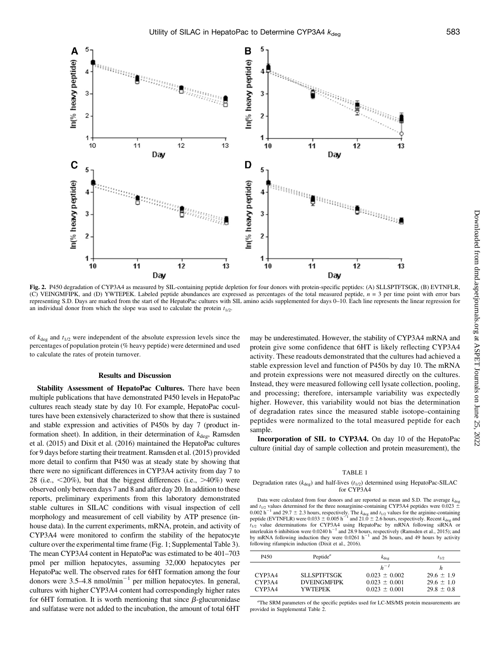

Fig. 2. P450 degradation of CYP3A4 as measured by SIL-containing peptide depletion for four donors with protein-specific peptides: (A) SLLSPTFTSGK, (B) EVTNFLR, (C) VEINGMFIPK, and (D) YWTEPEK. Labeled peptide abundances are expressed as percentages of the total measured peptide,  $n = 3$  per time point with error bars representing S.D. Days are marked from the start of the HepatoPac cultures with SIL amino acids supplemented for days 0–10. Each line represents the linear regression for an individual donor from which the slope was used to calculate the protein  $t_{1/2}$ .

of  $k_{\text{deg}}$  and  $t_{1/2}$  were independent of the absolute expression levels since the percentages of population protein (% heavy peptide) were determined and used to calculate the rates of protein turnover.

# Results and Discussion

Stability Assessment of HepatoPac Cultures. There have been multiple publications that have demonstrated P450 levels in HepatoPac cultures reach steady state by day 10. For example, HepatoPac cocultures have been extensively characterized to show that there is sustained and stable expression and activities of P450s by day 7 (product information sheet). In addition, in their determination of  $k_{\text{deg}}$ , Ramsden et al. (2015) and Dixit et al. (2016) maintained the HepatoPac cultures for 9 days before starting their treatment. Ramsden et al. (2015) provided more detail to confirm that P450 was at steady state by showing that there were no significant differences in CYP3A4 activity from day 7 to 28 (i.e.,  $\langle 20\% \rangle$ , but that the biggest differences (i.e.,  $>40\%$ ) were observed only between days 7 and 8 and after day 20. In addition to these reports, preliminary experiments from this laboratory demonstrated stable cultures in SILAC conditions with visual inspection of cell morphology and measurement of cell viability by ATP presence (inhouse data). In the current experiments, mRNA, protein, and activity of CYP3A4 were monitored to confirm the stability of the hepatocyte culture over the experimental time frame (Fig. 1; [Supplemental Table 3](http://dmd.aspetjournals.org/lookup/suppl/doi:10.1124/dmd.116.074393/-/DC1)). The mean CYP3A4 content in HepatoPac was estimated to be 401–703 pmol per million hepatocytes, assuming 32,000 hepatocytes per HepatoPac well. The observed rates for 6HT formation among the four donors were  $3.5-4.8$  nmol/min<sup>-1</sup> per million hepatocytes. In general, cultures with higher CYP3A4 content had correspondingly higher rates for 6HT formation. It is worth mentioning that since  $\beta$ -glucuronidase and sulfatase were not added to the incubation, the amount of total 6HT may be underestimated. However, the stability of CYP3A4 mRNA and protein give some confidence that 6HT is likely reflecting CYP3A4 activity. These readouts demonstrated that the cultures had achieved a stable expression level and function of P450s by day 10. The mRNA and protein expressions were not measured directly on the cultures. Instead, they were measured following cell lysate collection, pooling, and processing; therefore, intersample variability was expectedly higher. However, this variability would not bias the determination of degradation rates since the measured stable isotope–containing peptides were normalized to the total measured peptide for each sample.

Incorporation of SIL to CYP3A4. On day 10 of the HepatoPac culture (initial day of sample collection and protein measurement), the

### TABLE 1

#### Degradation rates ( $k_{\text{deg}}$ ) and half-lives ( $t_{1/2}$ ) determined using HepatoPac-SILAC for CYP3A4

Data were calculated from four donors and are reported as mean and S.D. The average  $k_{\text{deg}}$ and  $t_{1/2}$  values determined for the three nonarginine-containing CYP3A4 peptides were 0.023  $\pm$ 0.002 h<sup>-1</sup> and 29.7  $\pm$  2.3 hours, respectively. The  $k_{\text{deg}}$  and  $t_{1/2}$  values for the arginine-containing peptide (EVTNFLR) were 0.033  $\pm$  0.005 h<sup>-1</sup> and 21.0  $\pm$  2.6 hours, respectively. Recent  $k_{\text{deg}}$  and  $t_{1/2}$  value determinations for CYP3A4 using HepatoPac by mRNA following siRNA or interleukin 6 inhibition were  $0.0240 h^{-1}$  and 28.9 hours, respectively (Ramsden et al., 2015); and by mRNA following induction they were 0.0261  $h^{-1}$  and 26 hours, and 49 hours by activity following rifampicin induction (Dixit et al., 2016).

| P <sub>450</sub>           | Peptide <sup><math>a</math></sup>                   | $k_{\text{dec}}$                                                        | $t_{1/2}$                                               |
|----------------------------|-----------------------------------------------------|-------------------------------------------------------------------------|---------------------------------------------------------|
| CYP3A4<br>CYP3A4<br>CYP3A4 | <b>SLLSPTFTSGK</b><br><b>DVEINGMFIPK</b><br>YWTEPEK | $h^{-1}$<br>$0.023 \pm 0.002$<br>$0.023 \pm 0.001$<br>$0.023 \pm 0.001$ | h<br>$29.6 \pm 1.9$<br>$29.6 \pm 1.0$<br>$29.8 \pm 0.8$ |

<sup>a</sup>The SRM parameters of the specific peptides used for LC-MS/MS protein measurements are provided in [Supplemental Table 2.](http://dmd.aspetjournals.org/lookup/suppl/doi:10.1124/dmd.116.074393/-/DC1)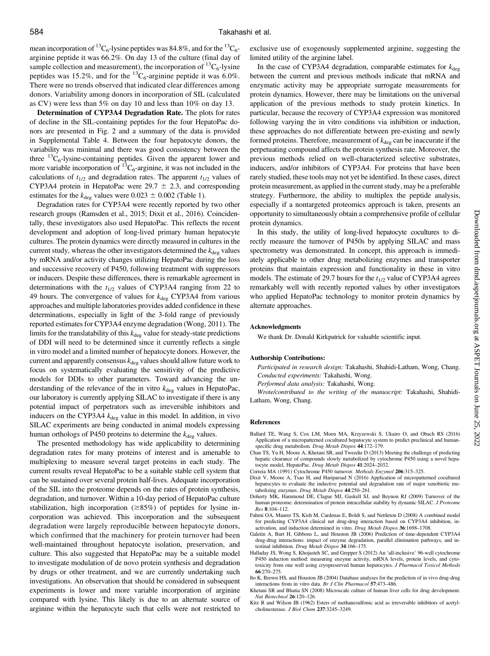mean incorporation of <sup>13</sup>C<sub>6</sub>-lysine peptides was 84.8%, and for the <sup>13</sup>C<sub>6</sub>arginine peptide it was 66.2%. On day 13 of the culture (final day of sample collection and measurement), the incorporation of  ${}^{13}C_6$ -lysine peptides was 15.2%, and for the  ${}^{13}C_6$ -arginine peptide it was 6.0%. There were no trends observed that indicated clear differences among donors. Variability among donors in incorporation of SIL (calculated as CV) were less than 5% on day 10 and less than 10% on day 13.

Determination of CYP3A4 Degradation Rate. The plots for rates of decline in the SIL-containing peptides for the four HepatoPac donors are presented in Fig. 2 and a summary of the data is provided in [Supplemental Table 4.](http://dmd.aspetjournals.org/lookup/suppl/doi:10.1124/dmd.116.074393/-/DC1) Between the four hepatocyte donors, the variability was minimal and there was good consistency between the three  ${}^{13}C_6$ -lysine-containing peptides. Given the apparent lower and more variable incorporation of  ${}^{13}C_6$ -arginine, it was not included in the calculations of  $t_{1/2}$  and degradation rates. The apparent  $t_{1/2}$  values of CYP3A4 protein in HepatoPac were  $29.7 \pm 2.3$ , and corresponding estimates for the  $k_{\text{deg}}$  values were 0.023  $\pm$  0.002 (Table 1).

Degradation rates for CYP3A4 were recently reported by two other research groups (Ramsden et al., 2015; Dixit et al., 2016). Coincidentally, these investigators also used HepatoPac. This reflects the recent development and adoption of long-lived primary human hepatocyte cultures. The protein dynamics were directly measured in cultures in the current study, whereas the other investigators determined the  $k_{\text{deg}}$  values by mRNA and/or activity changes utilizing HepatoPac during the loss and successive recovery of P450, following treatment with suppressors or inducers. Despite these differences, there is remarkable agreement in determinations with the  $t_{1/2}$  values of CYP3A4 ranging from 22 to 49 hours. The convergence of values for  $k_{\text{deg}}$  CYP3A4 from various approaches and multiple laboratories provides added confidence in these determinations, especially in light of the 3-fold range of previously reported estimates for CYP3A4 enzyme degradation (Wong, 2011). The limits for the translatability of this  $k_{\text{deg}}$  value for steady-state predictions of DDI will need to be determined since it currently reflects a single in vitro model and a limited number of hepatocyte donors. However, the current and apparently consensus  $k_{\text{deg}}$  values should allow future work to focus on systematically evaluating the sensitivity of the predictive models for DDIs to other parameters. Toward advancing the understanding of the relevance of the in vitro  $k_{\text{deg}}$  values in HepatoPac, our laboratory is currently applying SILAC to investigate if there is any potential impact of perpetrators such as irreversible inhibitors and inducers on the CYP3A4  $k_{\text{deg}}$  value in this model. In addition, in vivo SILAC experiments are being conducted in animal models expressing human orthologs of P450 proteins to determine the  $k_{\text{deg}}$  values.

The presented methodology has wide applicability to determining degradation rates for many proteins of interest and is amenable to multiplexing to measure several target proteins in each study. The current results reveal HepatoPac to be a suitable stable cell system that can be sustained over several protein half-lives. Adequate incorporation of the SIL into the proteome depends on the rates of protein synthesis, degradation, and turnover. Within a 10-day period of HepatoPac culture stabilization, high incorporation  $(\geq 85\%)$  of peptides for lysine incorporation was achieved. This incorporation and the subsequent degradation were largely reproducible between hepatocyte donors, which confirmed that the machinery for protein turnover had been well-maintained throughout hepatocyte isolation, preservation, and culture. This also suggested that HepatoPac may be a suitable model to investigate modulation of de novo protein synthesis and degradation by drugs or other treatment, and we are currently undertaking such investigations. An observation that should be considered in subsequent experiments is lower and more variable incorporation of arginine compared with lysine. This likely is due to an alternate source of arginine within the hepatocyte such that cells were not restricted to

exclusive use of exogenously supplemented arginine, suggesting the limited utility of the arginine label.

In the case of CYP3A4 degradation, comparable estimates for  $k_{\text{des}}$ between the current and previous methods indicate that mRNA and enzymatic activity may be appropriate surrogate measurements for protein dynamics. However, there may be limitations on the universal application of the previous methods to study protein kinetics. In particular, because the recovery of CYP3A4 expression was monitored following varying the in vitro conditions via inhibition or induction, these approaches do not differentiate between pre-existing and newly formed proteins. Therefore, measurement of  $k_{\text{deg}}$  can be inaccurate if the perpetuating compound affects the protein synthesis rate. Moreover, the previous methods relied on well-characterized selective substrates, inducers, and/or inhibitors of CYP3A4. For proteins that have been rarely studied, these tools may not yet be identified. In these cases, direct protein measurement, as applied in the current study, may be a preferable strategy. Furthermore, the ability to multiplex the peptide analysis, especially if a nontargeted proteomics approach is taken, presents an opportunity to simultaneously obtain a comprehensive profile of cellular protein dynamics.

In this study, the utility of long-lived hepatocyte cocultures to directly measure the turnover of P450s by applying SILAC and mass spectrometry was demonstrated. In concept, this approach is immediately applicable to other drug metabolizing enzymes and transporter proteins that maintain expression and functionality in these in vitro models. The estimate of 29.7 hours for the  $t_{1/2}$  value of CYP3A4 agrees remarkably well with recently reported values by other investigators who applied HepatoPac technology to monitor protein dynamics by alternate approaches.

### Acknowledgments

We thank Dr. Donald Kirkpatrick for valuable scientific input.

#### Authorship Contributions:

Participated in research design: Takahashi, Shahidi-Latham, Wong, Chang. Conducted experiments: Takahashi, Wong.

Performed data analysis: Takahashi, Wong.

Wrote/contributed to the writing of the manuscript: Takahashi, Shahidi-Latham, Wong, Chang.

### References

- Ballard TE, Wang S, Cox LM, Moen MA, Krzyzewski S, Ukairo O, and Obach RS (2016) Application of a micropatterned cocultured hepatocyte system to predict preclinical and humanspecific drug metabolism. Drug Metab Dispos 44:172-179.
- Chan TS, Yu H, Moore A, Khetani SR, and Tweedie D (2013) Meeting the challenge of predicting hepatic clearance of compounds slowly metabolized by cytochrome P450 using a novel hepatocyte model, HepatoPac. Drug Metab Dispos 41:2024–2032.
- Correia MA (1991) Cytochrome P450 turnover. Methods Enzymol 206:315–325.
- Dixit V, Moore A, Tsao H, and Hariparsad N (2016) Application of micropatterned cocultured hepatocytes to evaluate the inductive potential and degradation rate of major xenobiotic metabolizing enzymes. Drug Metab Dispos 44:250–261.
- Doherty MK, Hammond DE, Clague MJ, Gaskell SJ, and Beynon RJ (2009) Turnover of the human proteome: determination of protein intracellular stability by dynamic SILAC. J Proteome Res 8:104–112.
- Fahmi OA, Maurer TS, Kish M, Cardenas E, Boldt S, and Nettleton D (2008) A combined model for predicting CYP3A4 clinical net drug-drug interaction based on CYP3A4 inhibition, inactivation, and induction determined in vitro. Drug Metab Dispos 36:1698–1708.
- Galetin A, Burt H, Gibbons L, and Houston JB (2006) Prediction of time-dependent CYP3A4 drug-drug interactions: impact of enzyme degradation, parallel elimination pathways, and intestinal inhibition. Drug Metab Dispos 34:166–175.
- Halladay JS, Wong S, Khojasteh SC, and Grepper S (2012) An 'all-inclusive' 96-well cytochrome P450 induction method: measuring enzyme activity, mRNA levels, protein levels, and cytotoxicity from one well using cryopreserved human hepatocytes. J Pharmacol Toxicol Methods 66:270–275.
- Ito K, Brown HS, and Houston JB (2004) Database analyses for the prediction of in vivo drug-drug interactions from in vitro data. Br J Clin Pharmacol 57:473–486.
- Khetani SR and Bhatia SN (2008) Microscale culture of human liver cells for drug development. Nat Biotechnol 26:120–126.
- Kitz R and Wilson IB (1962) Esters of methanesulfonic acid as irreversible inhibitors of acetylcholinesterase. J Biol Chem 237:3245–3249.